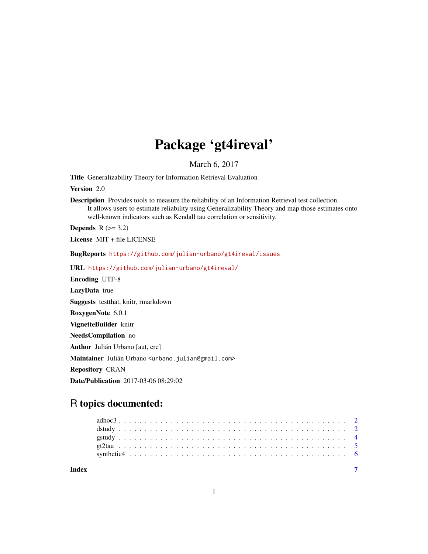## Package 'gt4ireval'

March 6, 2017

Title Generalizability Theory for Information Retrieval Evaluation

Version 2.0

Description Provides tools to measure the reliability of an Information Retrieval test collection. It allows users to estimate reliability using Generalizability Theory and map those estimates onto well-known indicators such as Kendall tau correlation or sensitivity.

Depends  $R$  ( $>= 3.2$ )

License MIT + file LICENSE

BugReports <https://github.com/julian-urbano/gt4ireval/issues>

URL <https://github.com/julian-urbano/gt4ireval/>

Encoding UTF-8

LazyData true

Suggests testthat, knitr, rmarkdown

RoxygenNote 6.0.1

VignetteBuilder knitr

NeedsCompilation no

Author Julián Urbano [aut, cre]

Maintainer Julián Urbano <urbano.julian@gmail.com>

Repository CRAN

Date/Publication 2017-03-06 08:29:02

### R topics documented:

| Index |  |  |  |  |  |  |  |  |  |  |  |  |  |  |  |  |  |  |  |  |  |  |  |
|-------|--|--|--|--|--|--|--|--|--|--|--|--|--|--|--|--|--|--|--|--|--|--|--|
|       |  |  |  |  |  |  |  |  |  |  |  |  |  |  |  |  |  |  |  |  |  |  |  |
|       |  |  |  |  |  |  |  |  |  |  |  |  |  |  |  |  |  |  |  |  |  |  |  |
|       |  |  |  |  |  |  |  |  |  |  |  |  |  |  |  |  |  |  |  |  |  |  |  |
|       |  |  |  |  |  |  |  |  |  |  |  |  |  |  |  |  |  |  |  |  |  |  |  |
|       |  |  |  |  |  |  |  |  |  |  |  |  |  |  |  |  |  |  |  |  |  |  |  |

1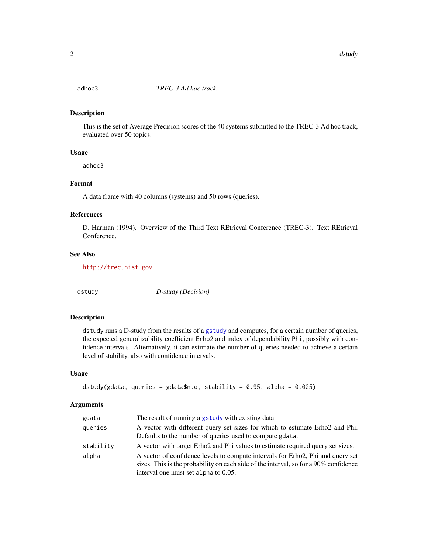<span id="page-1-0"></span>

#### Description

This is the set of Average Precision scores of the 40 systems submitted to the TREC-3 Ad hoc track, evaluated over 50 topics.

#### Usage

adhoc3

#### Format

A data frame with 40 columns (systems) and 50 rows (queries).

#### References

D. Harman (1994). Overview of the Third Text REtrieval Conference (TREC-3). Text REtrieval Conference.

#### See Also

<http://trec.nist.gov>

<span id="page-1-1"></span>

dstudy *D-study (Decision)*

#### Description

dstudy runs a D-study from the results of a [gstudy](#page-3-1) and computes, for a certain number of queries, the expected generalizability coefficient Erho2 and index of dependability Phi, possibly with confidence intervals. Alternatively, it can estimate the number of queries needed to achieve a certain level of stability, also with confidence intervals.

#### Usage

```
dstudy(gdata, queries = gdata$n.q, stability = 0.95, alpha = 0.025)
```
#### Arguments

| gdata     | The result of running a gstudy with existing data.                                                                                                                      |
|-----------|-------------------------------------------------------------------------------------------------------------------------------------------------------------------------|
| queries   | A vector with different query set sizes for which to estimate Erho2 and Phi.                                                                                            |
|           | Defaults to the number of queries used to compute gdata.                                                                                                                |
| stability | A vector with target Erho2 and Phi values to estimate required query set sizes.                                                                                         |
| alpha     | A vector of confidence levels to compute intervals for Erho2, Phi and query set<br>sizes. This is the probability on each side of the interval, so for a 90% confidence |
|           | interval one must set alpha to 0.05.                                                                                                                                    |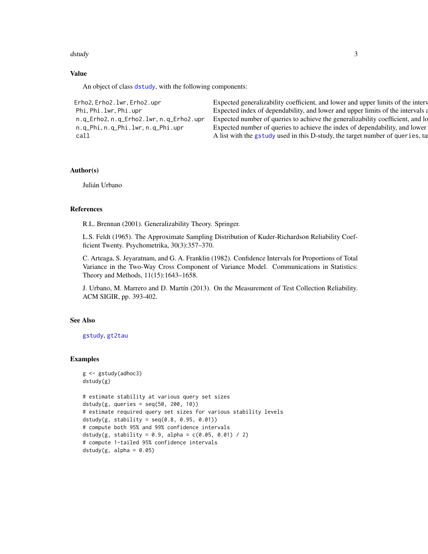#### <span id="page-2-0"></span>dstudy 3

#### Value

An object of class [dstudy](#page-1-1), with the following components:

Erho2, Erho2. 1 wr, Erho2. upr Expected generalizability coefficient, and lower and upper limits of the interv Phi, Phi. 1wr, Phi. upr Expected index of dependability, and lower and upper limits of the intervals are Expected index of dependability, and lower and upper limits of the intervals are n.q\_Erho2, n.q\_Erho2.lwr, n.q\_Erho2.upr Expected number of queries to achieve the generalizability coefficient, and lower and lower and lower and lower and it. n.q\_Phi, n.q\_Phi.lwr, n.q\_Phi.upr Expected number of queries to achieve the index of dependability, and lower call A list with the [gstudy](#page-3-1) used in this D-study, the target number of queries, ta

#### Author(s)

Julián Urbano

#### References

R.L. Brennan (2001). Generalizability Theory. Springer.

L.S. Feldt (1965). The Approximate Sampling Distribution of Kuder-Richardson Reliability Coefficient Twenty. Psychometrika, 30(3):357–370.

C. Arteaga, S. Jeyaratnam, and G. A. Franklin (1982). Confidence Intervals for Proportions of Total Variance in the Two-Way Cross Component of Variance Model. Communications in Statistics: Theory and Methods, 11(15):1643–1658.

J. Urbano, M. Marrero and D. Martín (2013). On the Measurement of Test Collection Reliability. ACM SIGIR, pp. 393-402.

#### See Also

[gstudy](#page-3-1), [gt2tau](#page-4-1)

#### Examples

```
g <- gstudy(adhoc3)
dstudy(g)
```

```
# estimate stability at various query set sizes
dstudy(g, queries = seq(50, 200, 10))# estimate required query set sizes for various stability levels
dstudy(g, stability = seq(0.8, 0.95, 0.01))
# compute both 95% and 99% confidence intervals
dstudy(g, stability = 0.9, alpha = c(0.05, 0.01) / 2)# compute 1-tailed 95% confidence intervals
dstudy(g, alpha = 0.05)
```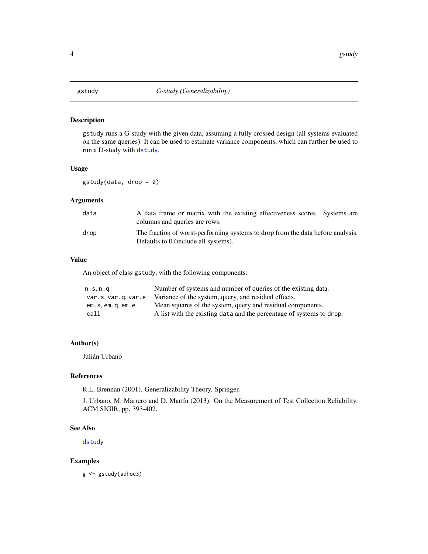#### <span id="page-3-1"></span><span id="page-3-0"></span>Description

gstudy runs a G-study with the given data, assuming a fully crossed design (all systems evaluated on the same queries). It can be used to estimate variance components, which can further be used to run a D-study with [dstudy](#page-1-1).

#### Usage

gstudy(data, drop = 0)

#### Arguments

| data | A data frame or matrix with the existing effectiveness scores. Systems are<br>columns and queries are rows.             |
|------|-------------------------------------------------------------------------------------------------------------------------|
| drop | The fraction of worst-performing systems to drop from the data before analysis.<br>Defaults to 0 (include all systems). |

#### Value

An object of class gstudy, with the following components:

| n.s, n.q          | Number of systems and number of queries of the existing data.        |
|-------------------|----------------------------------------------------------------------|
| var.s.var.g.var.e | Variance of the system, query, and residual effects.                 |
| em.s.em.g.em.e    | Mean squares of the system, query and residual components.           |
| call              | A list with the existing data and the percentage of systems to drop. |

#### Author(s)

Julián Urbano

#### References

R.L. Brennan (2001). Generalizability Theory. Springer.

J. Urbano, M. Marrero and D. Martín (2013). On the Measurement of Test Collection Reliability. ACM SIGIR, pp. 393-402.

#### See Also

[dstudy](#page-1-1)

#### Examples

g <- gstudy(adhoc3)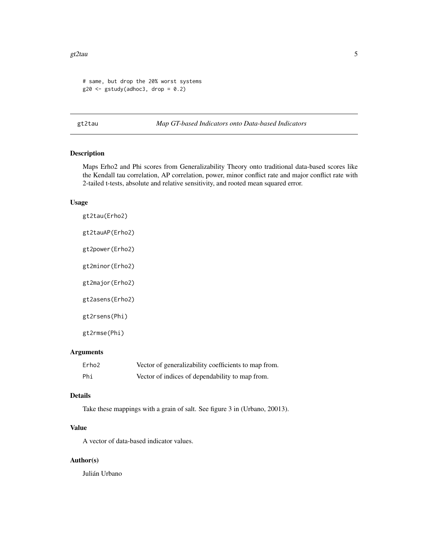#### <span id="page-4-0"></span>gt2tau  $5$

```
# same, but drop the 20% worst systems
g20 \leq-gstudy(adhoc3, drop = 0.2)
```
<span id="page-4-1"></span>gt2tau *Map GT-based Indicators onto Data-based Indicators*

#### Description

Maps Erho2 and Phi scores from Generalizability Theory onto traditional data-based scores like the Kendall tau correlation, AP correlation, power, minor conflict rate and major conflict rate with 2-tailed t-tests, absolute and relative sensitivity, and rooted mean squared error.

#### Usage

| gt2tau(Erho2)   |
|-----------------|
| gt2tauAP(Erho2) |
| gt2power(Erho2) |
| gt2minor(Erho2) |
| gt2major(Erho2) |
| gt2asens(Erho2) |
| gt2rsens(Phi)   |
| gt2rmse(Phi)    |

#### Arguments

| Erho2 | Vector of generalizability coefficients to map from. |
|-------|------------------------------------------------------|
| Phi   | Vector of indices of dependability to map from.      |

#### Details

Take these mappings with a grain of salt. See figure 3 in (Urbano, 20013).

#### Value

A vector of data-based indicator values.

#### Author(s)

Julián Urbano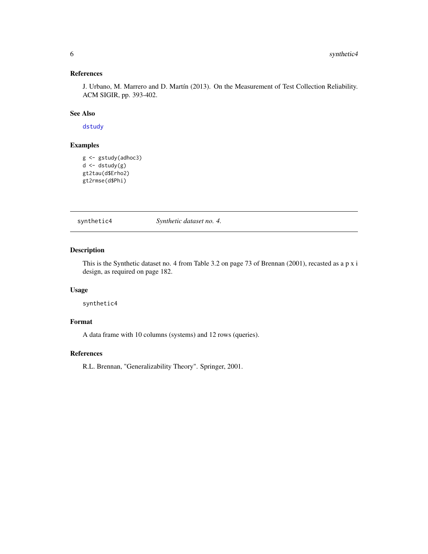#### <span id="page-5-0"></span>References

J. Urbano, M. Marrero and D. Martín (2013). On the Measurement of Test Collection Reliability. ACM SIGIR, pp. 393-402.

#### See Also

[dstudy](#page-1-1)

#### Examples

```
g <- gstudy(adhoc3)
d <- dstudy(g)
gt2tau(d$Erho2)
gt2rmse(d$Phi)
```
synthetic4 *Synthetic dataset no. 4.*

#### Description

This is the Synthetic dataset no. 4 from Table 3.2 on page 73 of Brennan (2001), recasted as a p x i design, as required on page 182.

#### Usage

synthetic4

#### Format

A data frame with 10 columns (systems) and 12 rows (queries).

#### References

R.L. Brennan, "Generalizability Theory". Springer, 2001.